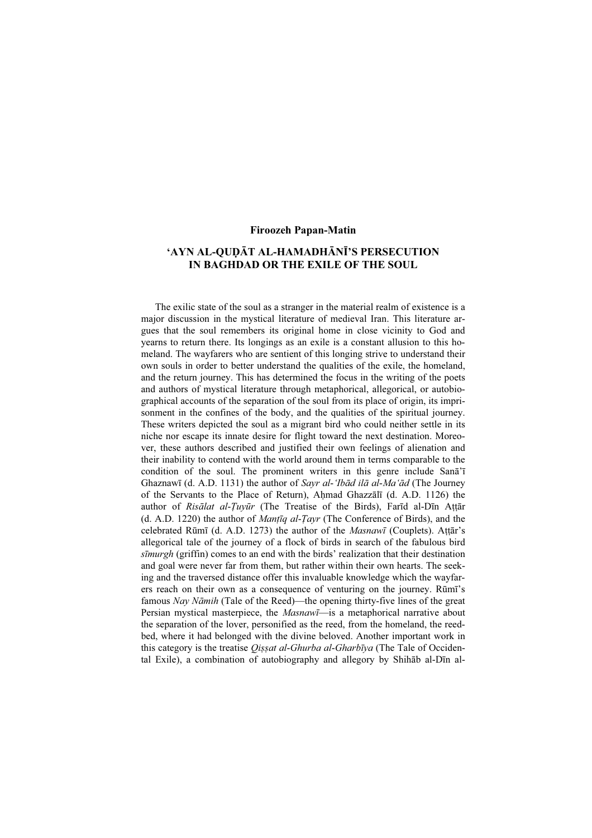## Firoozeh Papan-Matin

## 'AYN AL-QUḌĀT AL-HAMADHĀNĪ'S PERSECUTION IN BAGHDAD OR THE EXILE OF THE SOUL

The exilic state of the soul as a stranger in the material realm of existence is a major discussion in the mystical literature of medieval Iran. This literature argues that the soul remembers its original home in close vicinity to God and yearns to return there. Its longings as an exile is a constant allusion to this homeland. The wayfarers who are sentient of this longing strive to understand their own souls in order to better understand the qualities of the exile, the homeland, and the return journey. This has determined the focus in the writing of the poets and authors of mystical literature through metaphorical, allegorical, or autobiographical accounts of the separation of the soul from its place of origin, its imprisonment in the confines of the body, and the qualities of the spiritual journey. These writers depicted the soul as a migrant bird who could neither settle in its niche nor escape its innate desire for flight toward the next destination. Moreover, these authors described and justified their own feelings of alienation and their inability to contend with the world around them in terms comparable to the condition of the soul. The prominent writers in this genre include Sanā'ī Ghaznawī (d. A.D. 1131) the author of Sayr al-'Ibād ilā al-Ma'ād (The Journey of the Servants to the Place of Return), Aḥmad Ghazzālī (d. A.D. 1126) the author of Risālat al-Tuyūr (The Treatise of the Birds), Farīd al-Dīn Attār (d. A.D. 1220) the author of *Mantiq al-Tayr* (The Conference of Birds), and the celebrated Rūmī (d. A.D. 1273) the author of the Masnawī (Couplets). Aṭṭār's allegorical tale of the journey of a flock of birds in search of the fabulous bird sīmurgh (griffin) comes to an end with the birds' realization that their destination and goal were never far from them, but rather within their own hearts. The seeking and the traversed distance offer this invaluable knowledge which the wayfarers reach on their own as a consequence of venturing on the journey. Rūmī's famous Nay Nāmih (Tale of the Reed)—the opening thirty-five lines of the great Persian mystical masterpiece, the Masnawī-is a metaphorical narrative about the separation of the lover, personified as the reed, from the homeland, the reedbed, where it had belonged with the divine beloved. Another important work in this category is the treatise *Oissat al-Ghurba al-Gharbīya* (The Tale of Occidental Exile), a combination of autobiography and allegory by Shihāb al-Dīn al-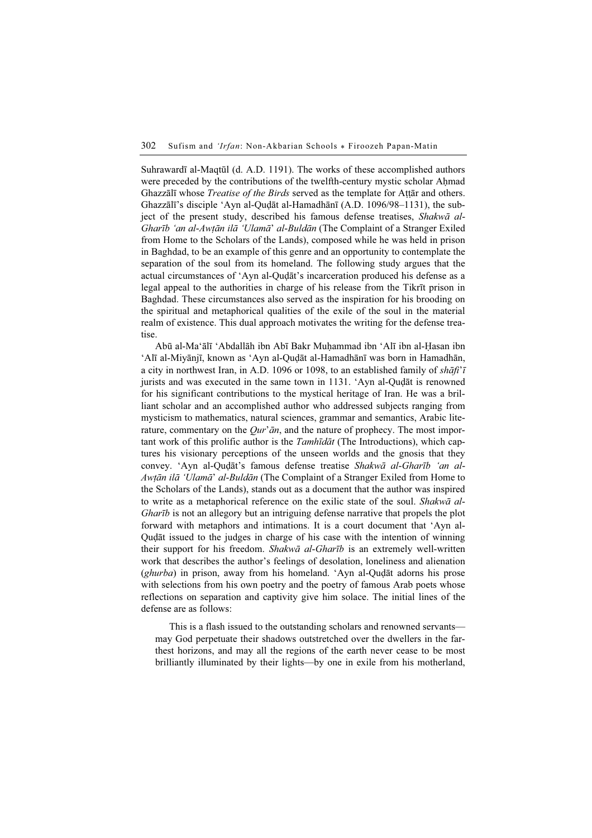Suhrawardī al-Maqtūl (d. A.D. 1191). The works of these accomplished authors were preceded by the contributions of the twelfth-century mystic scholar Ahmad Ghazzālī whose *Treatise of the Birds* served as the template for Attār and others. Ghazzālī's disciple 'Ayn al-Quḍāt al-Hamadhānī (A.D. 1096/98–1131), the subject of the present study, described his famous defense treatises, Shakwā al-Gharīb 'an al-Awṭān ilā 'Ulamā' al-Buldān (The Complaint of a Stranger Exiled from Home to the Scholars of the Lands), composed while he was held in prison in Baghdad, to be an example of this genre and an opportunity to contemplate the separation of the soul from its homeland. The following study argues that the actual circumstances of 'Ayn al-Quḍāt's incarceration produced his defense as a legal appeal to the authorities in charge of his release from the Tikrīt prison in Baghdad. These circumstances also served as the inspiration for his brooding on the spiritual and metaphorical qualities of the exile of the soul in the material realm of existence. This dual approach motivates the writing for the defense treatise.

Abū al-Ma'ālī 'Abdallāh ibn Abī Bakr Muḥammad ibn 'Alī ibn al-Ḥasan ibn 'Alī al-Miyānjī, known as 'Ayn al-Quḍāt al-Hamadhānī was born in Hamadhān, a city in northwest Iran, in A.D. 1096 or 1098, to an established family of  $sh\bar{a}fi\bar{i}$ jurists and was executed in the same town in 1131. 'Ayn al-Quḍāt is renowned for his significant contributions to the mystical heritage of Iran. He was a brilliant scholar and an accomplished author who addressed subjects ranging from mysticism to mathematics, natural sciences, grammar and semantics, Arabic literature, commentary on the  $Qur'$ ān, and the nature of prophecy. The most important work of this prolific author is the Tamhīdāt (The Introductions), which captures his visionary perceptions of the unseen worlds and the gnosis that they convey. 'Ayn al-Quḍāt's famous defense treatise Shakwā al-Gharīb 'an al-Awtān ilā 'Ulamā' al-Buldān (The Complaint of a Stranger Exiled from Home to the Scholars of the Lands), stands out as a document that the author was inspired to write as a metaphorical reference on the exilic state of the soul. Shakwa al-Gharīb is not an allegory but an intriguing defense narrative that propels the plot forward with metaphors and intimations. It is a court document that 'Ayn al-Quḍāt issued to the judges in charge of his case with the intention of winning their support for his freedom. Shakwa al-Gharib is an extremely well-written work that describes the author's feelings of desolation, loneliness and alienation  $(ghurba)$  in prison, away from his homeland. 'Ayn al-Qu $\overline{a}$  adorns his prose with selections from his own poetry and the poetry of famous Arab poets whose reflections on separation and captivity give him solace. The initial lines of the defense are as follows:

This is a flash issued to the outstanding scholars and renowned servants may God perpetuate their shadows outstretched over the dwellers in the farthest horizons, and may all the regions of the earth never cease to be most brilliantly illuminated by their lights—by one in exile from his motherland,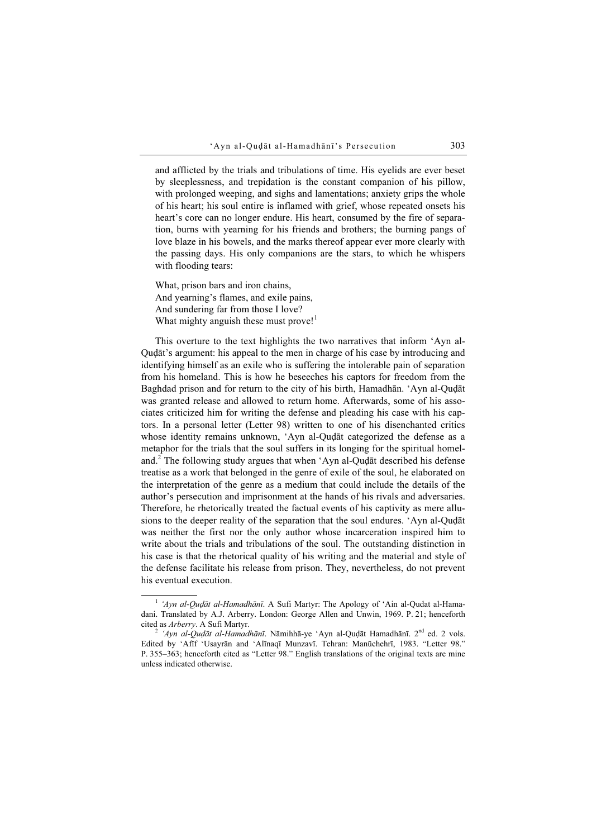and afflicted by the trials and tribulations of time. His eyelids are ever beset by sleeplessness, and trepidation is the constant companion of his pillow, with prolonged weeping, and sighs and lamentations; anxiety grips the whole of his heart; his soul entire is inflamed with grief, whose repeated onsets his heart's core can no longer endure. His heart, consumed by the fire of separation, burns with yearning for his friends and brothers; the burning pangs of love blaze in his bowels, and the marks thereof appear ever more clearly with the passing days. His only companions are the stars, to which he whispers with flooding tears:

What, prison bars and iron chains, And yearning's flames, and exile pains, And sundering far from those I love? What mighty anguish these must prove!<sup>1</sup>

This overture to the text highlights the two narratives that inform 'Ayn al-Quḍāt's argument: his appeal to the men in charge of his case by introducing and identifying himself as an exile who is suffering the intolerable pain of separation from his homeland. This is how he beseeches his captors for freedom from the Baghdad prison and for return to the city of his birth, Hamadhān. 'Ayn al-Quḍāt was granted release and allowed to return home. Afterwards, some of his associates criticized him for writing the defense and pleading his case with his captors. In a personal letter (Letter 98) written to one of his disenchanted critics whose identity remains unknown, 'Ayn al-Quḍāt categorized the defense as a metaphor for the trials that the soul suffers in its longing for the spiritual homeland.<sup>2</sup> The following study argues that when 'Ayn al-Quḍāt described his defense treatise as a work that belonged in the genre of exile of the soul, he elaborated on the interpretation of the genre as a medium that could include the details of the author's persecution and imprisonment at the hands of his rivals and adversaries. Therefore, he rhetorically treated the factual events of his captivity as mere allusions to the deeper reality of the separation that the soul endures. 'Ayn al-Quḍāt was neither the first nor the only author whose incarceration inspired him to write about the trials and tribulations of the soul. The outstanding distinction in his case is that the rhetorical quality of his writing and the material and style of the defense facilitate his release from prison. They, nevertheless, do not prevent his eventual execution.

<sup>&</sup>lt;sup>1</sup> 'Ayn al-Qudāt al-Hamadhānī. A Sufi Martyr: The Apology of 'Ain al-Qudat al-Hamadani. Translated by A.J. Arberry. London: George Allen and Unwin, 1969. P. 21; henceforth cited as Arberry. A Sufi Martyr.<br><sup>2</sup> 'Ayn al-Quḍāt al-Hamadhānī. Nāmihhā-ye 'Ayn al-Quḍāt Hamadhānī. 2<sup>nd</sup> ed. 2 vols.

Edited by 'Afīf 'Usayrān and 'Alīnaqī Munzavī. Tehran: Manūchehrī, 1983. "Letter 98." P. 355–363; henceforth cited as "Letter 98." English translations of the original texts are mine unless indicated otherwise.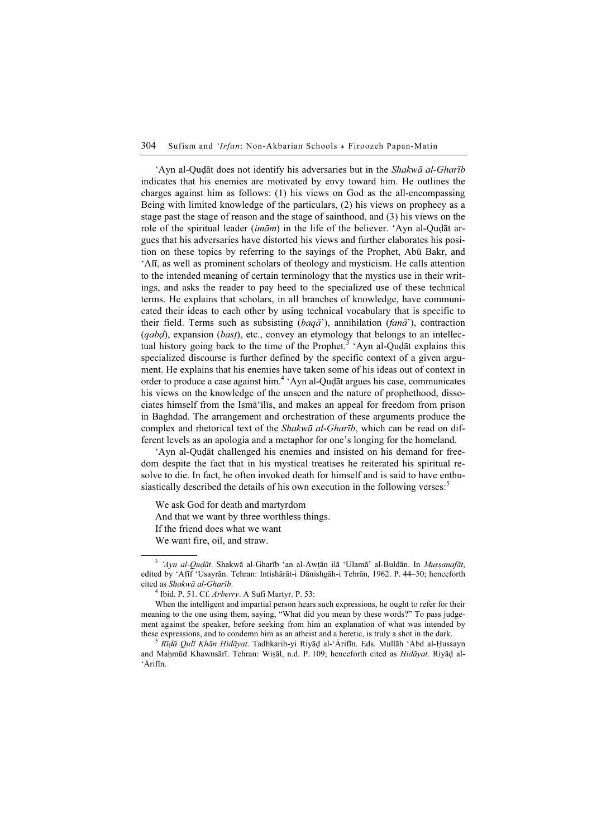'Ayn al-Quḍāt does not identify his adversaries but in the Shakwā al-Gharīb indicates that his enemies are motivated by envy toward him. He outlines the charges against him as follows: (1) his views on God as the all-encompassing Being with limited knowledge of the particulars, (2) his views on prophecy as a stage past the stage of reason and the stage of sainthood, and (3) his views on the role of the spiritual leader  $(imam)$  in the life of the believer. 'Ayn al-Quḍāt argues that his adversaries have distorted his views and further elaborates his position on these topics by referring to the sayings of the Prophet, Abū Bakr, and 'Alī, as well as prominent scholars of theology and mysticism. He calls attention to the intended meaning of certain terminology that the mystics use in their writings, and asks the reader to pay heed to the specialized use of these technical terms. He explains that scholars, in all branches of knowledge, have communicated their ideas to each other by using technical vocabulary that is specific to their field. Terms such as subsisting  $(baq\bar{a}^r)$ , annihilation  $(fan\bar{a}^r)$ , contraction  $(qabd)$ , expansion (bast), etc., convey an etymology that belongs to an intellectual history going back to the time of the Prophet.<sup>3</sup> 'Ayn al-Quḍāt explains this specialized discourse is further defined by the specific context of a given argument. He explains that his enemies have taken some of his ideas out of context in order to produce a case against him.<sup>4</sup> 'Ayn al-Quḍāt argues his case, communicates his views on the knowledge of the unseen and the nature of prophethood, dissociates himself from the Ismā'īlīs, and makes an appeal for freedom from prison in Baghdad. The arrangement and orchestration of these arguments produce the complex and rhetorical text of the *Shakwā al-Gharīb*, which can be read on different levels as an apologia and a metaphor for one's longing for the homeland.

'Ayn al-Quḍāt challenged his enemies and insisted on his demand for freedom despite the fact that in his mystical treatises he reiterated his spiritual resolve to die. In fact, he often invoked death for himself and is said to have enthusiastically described the details of his own execution in the following verses:<sup>5</sup>

We ask God for death and martyrdom And that we want by three worthless things. If the friend does what we want We want fire, oil, and straw.

 $3$  'Ayn al-Quḍāt. Shakwā al-Gharīb 'an al-Awṭān ilā 'Ulamā' al-Buldān. In Muṣṣanafāt, edited by 'Afīf 'Usayrān. Tehran: Intishārāt-i Dānishgāh-i Tehrān, 1962. P. 44–50; henceforth cited as Shakwā al-Gharīb. <sup>4</sup>

 $<sup>4</sup>$  Ibid. P. 51. Cf. *Arberry*. A Sufi Martyr. P. 53:</sup>

When the intelligent and impartial person hears such expressions, he ought to refer for their meaning to the one using them, saying, "What did you mean by these words?" To pass judgement against the speaker, before seeking from him an explanation of what was intended by these expressions, and to condemn him as an atheist and a heretic, is truly a shot in the dark.<br><sup>5</sup> Rīḍā Qulī Khān Hidāyat. Tadhkarih-yi Riyāḍ al-'Ārifīn. Eds. Mullāh 'Abd al-Ḥussayn

and Maḥmūd Khawnsārī. Tehran: Wiṣāl, n.d. P. 109; henceforth cited as Hidāyat. Riyāḍ al-'Ārifīn.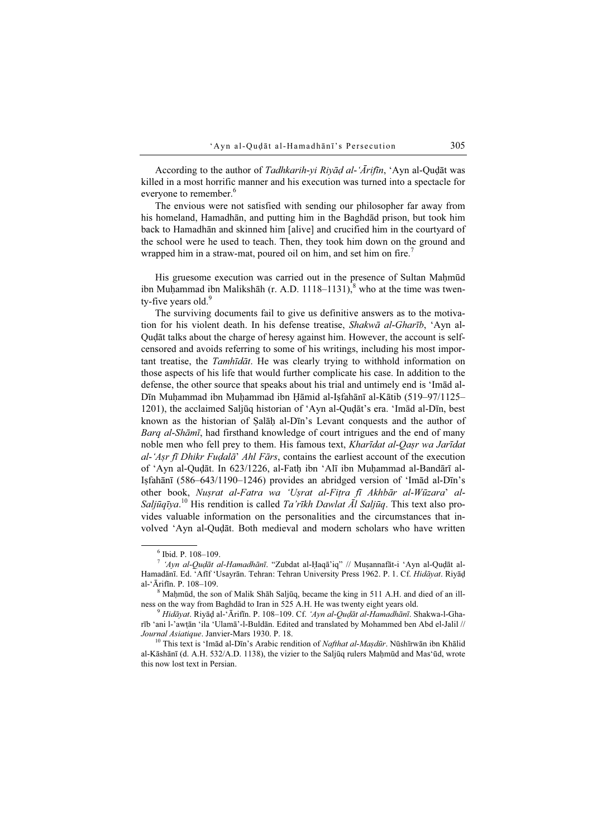According to the author of Tadhkarih-yi Riyād al-'Ārifīn, 'Ayn al-Quḍāt was killed in a most horrific manner and his execution was turned into a spectacle for everyone to remember.<sup>6</sup>

The envious were not satisfied with sending our philosopher far away from his homeland, Hamadhān, and putting him in the Baghdād prison, but took him back to Hamadhān and skinned him [alive] and crucified him in the courtyard of the school were he used to teach. Then, they took him down on the ground and wrapped him in a straw-mat, poured oil on him, and set him on fire.<sup>7</sup>

His gruesome execution was carried out in the presence of Sultan Mahmūd ibn Muḥammad ibn Malikshāh (r. A.D. 1118–1131), $\delta$  who at the time was twenty-five years old. $9$ 

The surviving documents fail to give us definitive answers as to the motivation for his violent death. In his defense treatise, Shakwā al-Gharīb, 'Ayn al-Quḍāt talks about the charge of heresy against him. However, the account is selfcensored and avoids referring to some of his writings, including his most important treatise, the Tamhīdāt. He was clearly trying to withhold information on those aspects of his life that would further complicate his case. In addition to the defense, the other source that speaks about his trial and untimely end is 'Imād al-Dīn Muḥammad ibn Muḥammad ibn Ḥāmid al-Iṣfahānī al-Kātib (519–97/1125– 1201), the acclaimed Saljūq historian of 'Ayn al-Quḍāt's era. 'Imād al-Dīn, best known as the historian of Ṣalāḥ al-Dīn's Levant conquests and the author of Barq al-Shāmī, had firsthand knowledge of court intrigues and the end of many noble men who fell prey to them. His famous text, Kharīdat al-Qasr wa Jarīdat  $al$ -'Aṣr fī Dhikr Fuḍalā' Ahl Fārs, contains the earliest account of the execution of 'Ayn al-Quḍāt. In 623/1226, al-Fatḥ ibn 'Alī ibn Muḥammad al-Bandārī al-Iṣfahānī (586–643/1190–1246) provides an abridged version of 'Imād al-Dīn's other book, Nuṣrat al-Fatra wa 'Uṣrat al-Fiṭra fī Akhbār al-Wūzara' al-Saljūqīya.<sup>10</sup> His rendition is called *Ta'rīkh Dawlat Āl Saljūq*. This text also provides valuable information on the personalities and the circumstances that involved 'Ayn al-Quḍāt. Both medieval and modern scholars who have written

 $\delta$ <sup>8</sup> Mahmūd, the son of Malik Shāh Saljūq, became the king in 511 A.H. and died of an illness on the way from Baghdād to Iran in 525 A.H. He was twenty eight years old.<br><sup>9</sup> Hidāyat. Riyāḍ al-'Ārifīn. P. 108–109. Cf. 'Ayn al-Quḍāt al-Hamadhānī. Shakwa-l-Gha-

rīb 'ani l-'awṭān 'ila 'Ulamā'-l-Buldān. Edited and translated by Mohammed ben Abd el-Jalil // Journal Asiatique. Janvier-Mars 1930. P. 18.<br><sup>10</sup> This text is 'Imād al-Dīn's Arabic rendition of *Nafthat al-Maṣdūr*. Nūshīrwān ibn Khālid

al-Kāshānī (d. A.H. 532/A.D. 1138), the vizier to the Saljūq rulers Mahmūd and Mas'ūd, wrote this now lost text in Persian.

<sup>6</sup> Ibid. P. 108–109.

 $7$  'Ayn al-Quḍāt al-Hamadhānī. "Zubdat al-Ḥaqā'iq" // Muṣannafāt-i 'Ayn al-Quḍāt al-Hamadānī. Ed. 'Afīf 'Usayrān. Tehran: Tehran University Press 1962. P. 1. Cf. Hidāyat. Riyāḍ al-'Ārifīn. P. 108–109. <sup>8</sup>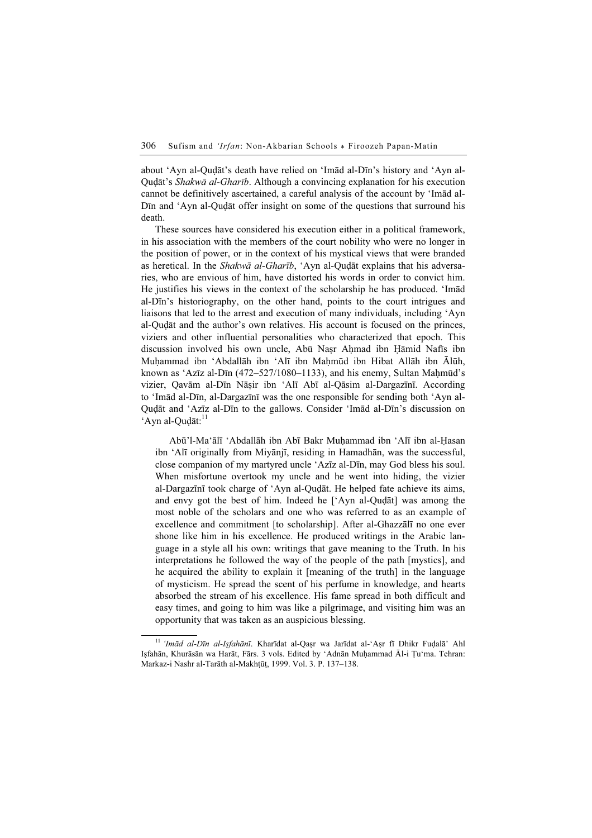about 'Ayn al-Quḍāt's death have relied on 'Imād al-Dīn's history and 'Ayn al-Quḍāt's Shakwā al-Gharīb. Although a convincing explanation for his execution cannot be definitively ascertained, a careful analysis of the account by 'Imād al-Dīn and 'Ayn al-Quḍāt offer insight on some of the questions that surround his death.

These sources have considered his execution either in a political framework, in his association with the members of the court nobility who were no longer in the position of power, or in the context of his mystical views that were branded as heretical. In the Shakwā al-Gharīb, 'Ayn al-Quḍāt explains that his adversaries, who are envious of him, have distorted his words in order to convict him. He justifies his views in the context of the scholarship he has produced. 'Imād al-Dīn's historiography, on the other hand, points to the court intrigues and liaisons that led to the arrest and execution of many individuals, including 'Ayn al-Quḍāt and the author's own relatives. His account is focused on the princes, viziers and other influential personalities who characterized that epoch. This discussion involved his own uncle, Abū Naṣr Aḥmad ibn Ḥāmid Nafīs ibn Muhammad ibn 'Abdallāh ibn 'Alī ibn Mahmūd ibn Hibat Allāh ibn Ālūh, known as 'Azīz al-Dīn (472–527/1080–1133), and his enemy, Sultan Maḥmūd's vizier, Qavām al-Dīn Nāṣir ibn 'Alī Abī al-Qāsim al-Dargazīnī. According to 'Imād al-Dīn, al-Dargazīnī was the one responsible for sending both 'Ayn al-Quḍāt and 'Azīz al-Dīn to the gallows. Consider 'Imād al-Dīn's discussion on 'Ayn al-Qudāt: $^{11}$ 

Abū'l-Ma'ālī 'Abdallāh ibn Abī Bakr Muḥammad ibn 'Alī ibn al-Ḥasan ibn 'Alī originally from Miyānjī, residing in Hamadhān, was the successful, close companion of my martyred uncle 'Azīz al-Dīn, may God bless his soul. When misfortune overtook my uncle and he went into hiding, the vizier al-Dargazīnī took charge of 'Ayn al-Quḍāt. He helped fate achieve its aims, and envy got the best of him. Indeed he ['Ayn al-Quḍāt] was among the most noble of the scholars and one who was referred to as an example of excellence and commitment [to scholarship]. After al-Ghazzālī no one ever shone like him in his excellence. He produced writings in the Arabic language in a style all his own: writings that gave meaning to the Truth. In his interpretations he followed the way of the people of the path [mystics], and he acquired the ability to explain it [meaning of the truth] in the language of mysticism. He spread the scent of his perfume in knowledge, and hearts absorbed the stream of his excellence. His fame spread in both difficult and easy times, and going to him was like a pilgrimage, and visiting him was an opportunity that was taken as an auspicious blessing.

<sup>&</sup>lt;sup>11</sup> 'Imād al-Dīn al-Isfahānī. Kharīdat al-Qașr wa Jarīdat al-'Așr fī Dhikr Fuḍalā' Ahl Iṣfahān, Khurāsān wa Harāt, Fārs. 3 vols. Edited by 'Adnān Muḥammad Āl-i Ṭu'ma. Tehran: Markaz-i Nashr al-Tarāth al-Makhṭūṭ, 1999. Vol. 3. P. 137–138.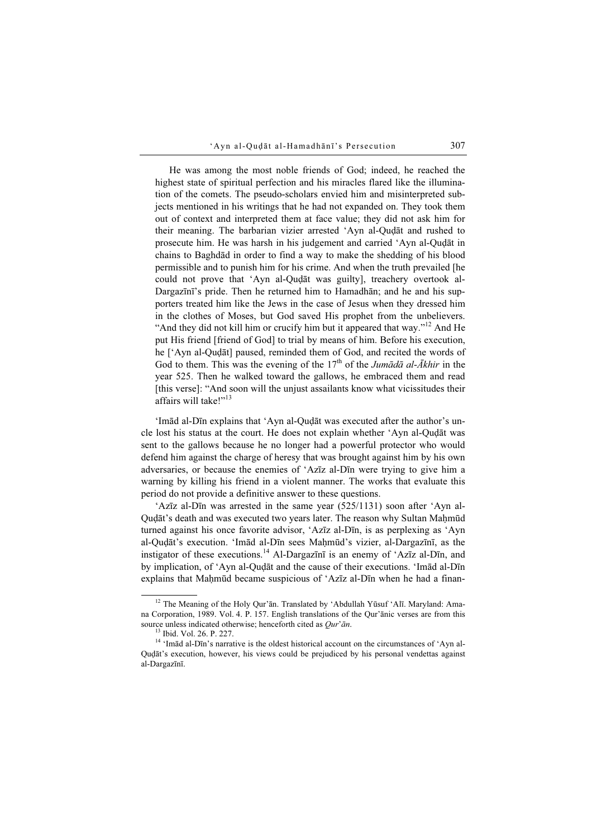He was among the most noble friends of God; indeed, he reached the highest state of spiritual perfection and his miracles flared like the illumination of the comets. The pseudo-scholars envied him and misinterpreted subjects mentioned in his writings that he had not expanded on. They took them out of context and interpreted them at face value; they did not ask him for their meaning. The barbarian vizier arrested 'Ayn al-Quḍāt and rushed to prosecute him. He was harsh in his judgement and carried 'Ayn al-Quḍāt in chains to Baghdād in order to find a way to make the shedding of his blood permissible and to punish him for his crime. And when the truth prevailed [he could not prove that 'Ayn al-Quḍāt was guilty], treachery overtook al-Dargazīnī's pride. Then he returned him to Hamadhān; and he and his supporters treated him like the Jews in the case of Jesus when they dressed him in the clothes of Moses, but God saved His prophet from the unbelievers. "And they did not kill him or crucify him but it appeared that way."<sup>12</sup> And He put His friend [friend of God] to trial by means of him. Before his execution, he ['Ayn al-Quḍāt] paused, reminded them of God, and recited the words of God to them. This was the evening of the  $17<sup>th</sup>$  of the *Jumādā al-Ākhir* in the year 525. Then he walked toward the gallows, he embraced them and read [this verse]: "And soon will the unjust assailants know what vicissitudes their affairs will take!"<sup>13</sup>

'Imād al-Dīn explains that 'Ayn al-Quḍāt was executed after the author's uncle lost his status at the court. He does not explain whether 'Ayn al-Quḍāt was sent to the gallows because he no longer had a powerful protector who would defend him against the charge of heresy that was brought against him by his own adversaries, or because the enemies of 'Azīz al-Dīn were trying to give him a warning by killing his friend in a violent manner. The works that evaluate this period do not provide a definitive answer to these questions.

'Azīz al-Dīn was arrested in the same year (525/1131) soon after 'Ayn al-Qudāt's death and was executed two years later. The reason why Sultan Mahmūd turned against his once favorite advisor, 'Azīz al-Dīn, is as perplexing as 'Ayn al-Quḍāt's execution. 'Imād al-Dīn sees Maḥmūd's vizier, al-Dargazīnī, as the instigator of these executions.<sup>14</sup> Al-Dargazīnī is an enemy of 'Azīz al-Dīn, and by implication, of 'Ayn al-Quḍāt and the cause of their executions. 'Imād al-Dīn explains that Mahmūd became suspicious of 'Azīz al-Dīn when he had a finan-

<sup>&</sup>lt;sup>12</sup> The Meaning of the Holy Qur'ān. Translated by 'Abdullah Yūsuf 'Alī. Maryland: Amana Corporation, 1989. Vol. 4. P. 157. English translations of the Qur'ānic verses are from this source unless indicated otherwise; henceforth cited as  $Qur'$ ān. <sup>13</sup> Ibid. Vol. 26. P. 227.

<sup>&</sup>lt;sup>14</sup> 'Imād al-Dīn's narrative is the oldest historical account on the circumstances of 'Ayn al-Quḍāt's execution, however, his views could be prejudiced by his personal vendettas against al-Dargazīnī.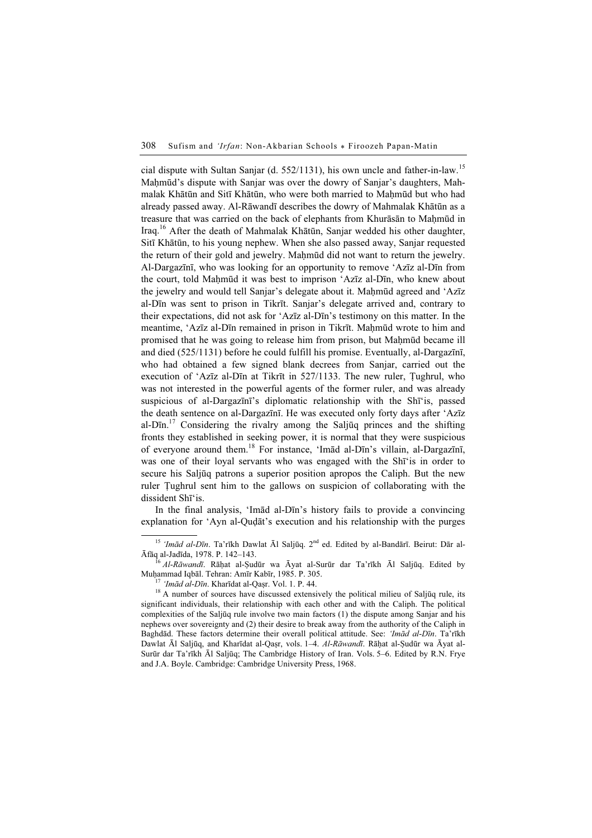cial dispute with Sultan Sanjar (d. 552/1131), his own uncle and father-in-law.<sup>15</sup> Maḥmūd's dispute with Sanjar was over the dowry of Sanjar's daughters, Mahmalak Khātūn and Sitī Khātūn, who were both married to Mahmūd but who had already passed away. Al-Rāwandī describes the dowry of Mahmalak Khātūn as a treasure that was carried on the back of elephants from Khurāsān to Maḥmūd in Iraq.<sup>16</sup> After the death of Mahmalak Khātūn, Sanjar wedded his other daughter, Sitī Khātūn, to his young nephew. When she also passed away, Sanjar requested the return of their gold and jewelry. Mahmūd did not want to return the jewelry. Al-Dargazīnī, who was looking for an opportunity to remove 'Azīz al-Dīn from the court, told Mahmūd it was best to imprison 'Azīz al-Dīn, who knew about the jewelry and would tell Sanjar's delegate about it. Mahmūd agreed and 'Azīz al-Dīn was sent to prison in Tikrīt. Sanjar's delegate arrived and, contrary to their expectations, did not ask for 'Azīz al-Dīn's testimony on this matter. In the meantime, 'Azīz al-Dīn remained in prison in Tikrīt. Mahmūd wrote to him and promised that he was going to release him from prison, but Mahmūd became ill and died (525/1131) before he could fulfill his promise. Eventually, al-Dargazīnī, who had obtained a few signed blank decrees from Sanjar, carried out the execution of 'Azīz al-Dīn at Tikrīt in 527/1133. The new ruler, Ṭughrul, who was not interested in the powerful agents of the former ruler, and was already suspicious of al-Dargazīnī's diplomatic relationship with the Shī'is, passed the death sentence on al-Dargazīnī. He was executed only forty days after 'Azīz al-Dīn.<sup>17</sup> Considering the rivalry among the Saljūq princes and the shifting fronts they established in seeking power, it is normal that they were suspicious of everyone around them.<sup>18</sup> For instance, 'Imād al-Dīn's villain, al-Dargazīnī, was one of their loyal servants who was engaged with the Shī'is in order to secure his Saljūq patrons a superior position apropos the Caliph. But the new ruler Ṭughrul sent him to the gallows on suspicion of collaborating with the dissident Shī'is.

In the final analysis, 'Imād al-Dīn's history fails to provide a convincing explanation for 'Ayn al-Quḍāt's execution and his relationship with the purges

<sup>&</sup>lt;sup>15</sup> 'Imād al-Dīn. Ta'rīkh Dawlat Āl Saljūq. 2<sup>nd</sup> ed. Edited by al-Bandārī. Beirut: Dār al-<br>Āfāq al-Jadīda, 1978. P. 142–143.

<sup>&</sup>lt;sup>16</sup> *Al-Rāwandī*. Rāḥat al-Şudūr wa Āyat al-Surūr dar Ta'rīkh Āl Saljūq. Edited by Muhammad Iqbāl. Tehran: Amīr Kabīr, 1985. P. 305.

 $\frac{17}{17}$  'Imād al-Dīn. Kharīdat al-Qaṣr. Vol. 1. P. 44. 18<br><sup>18</sup> A number of sources have discussed extensively the political milieu of Saljūq rule, its significant individuals, their relationship with each other and with the Caliph. The political complexities of the Saljūq rule involve two main factors (1) the dispute among Sanjar and his nephews over sovereignty and (2) their desire to break away from the authority of the Caliph in Baghdād. These factors determine their overall political attitude. See: 'Imād al-Dīn. Ta'rīkh Dawlat Āl Saljūq, and Kharīdat al-Qaṣr, vols. 1–4. Al-Rāwandī. Rāḥat al-Ṣudūr wa Āyat al-Surūr dar Ta'rīkh Āl Saljūq; The Cambridge History of Iran. Vols. 5–6. Edited by R.N. Frye and J.A. Boyle. Cambridge: Cambridge University Press, 1968.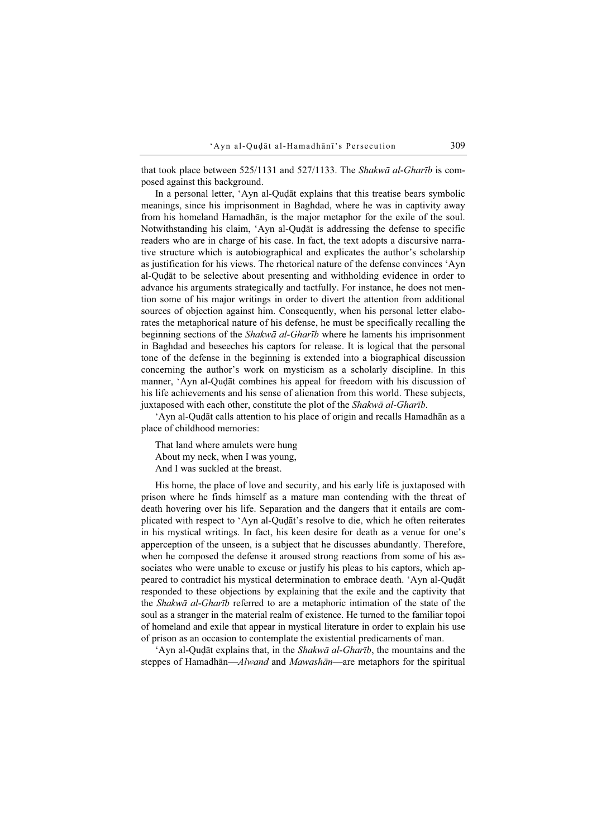that took place between 525/1131 and 527/1133. The *Shakwa al-Gharīb* is composed against this background.

In a personal letter, 'Ayn al-Quḍāt explains that this treatise bears symbolic meanings, since his imprisonment in Baghdad, where he was in captivity away from his homeland Hamadhān, is the major metaphor for the exile of the soul. Notwithstanding his claim, 'Ayn al-Quḍāt is addressing the defense to specific readers who are in charge of his case. In fact, the text adopts a discursive narrative structure which is autobiographical and explicates the author's scholarship as justification for his views. The rhetorical nature of the defense convinces 'Ayn al-Quḍāt to be selective about presenting and withholding evidence in order to advance his arguments strategically and tactfully. For instance, he does not mention some of his major writings in order to divert the attention from additional sources of objection against him. Consequently, when his personal letter elaborates the metaphorical nature of his defense, he must be specifically recalling the beginning sections of the Shakwā al-Gharīb where he laments his imprisonment in Baghdad and beseeches his captors for release. It is logical that the personal tone of the defense in the beginning is extended into a biographical discussion concerning the author's work on mysticism as a scholarly discipline. In this manner, 'Ayn al-Quḍāt combines his appeal for freedom with his discussion of his life achievements and his sense of alienation from this world. These subjects, juxtaposed with each other, constitute the plot of the Shakwa al-Gharib.

'Ayn al-Quḍāt calls attention to his place of origin and recalls Hamadhān as a place of childhood memories:

That land where amulets were hung About my neck, when I was young, And I was suckled at the breast.

His home, the place of love and security, and his early life is juxtaposed with prison where he finds himself as a mature man contending with the threat of death hovering over his life. Separation and the dangers that it entails are complicated with respect to 'Ayn al-Quḍāt's resolve to die, which he often reiterates in his mystical writings. In fact, his keen desire for death as a venue for one's apperception of the unseen, is a subject that he discusses abundantly. Therefore, when he composed the defense it aroused strong reactions from some of his associates who were unable to excuse or justify his pleas to his captors, which appeared to contradict his mystical determination to embrace death. 'Ayn al-Quḍāt responded to these objections by explaining that the exile and the captivity that the Shakwā al-Gharīb referred to are a metaphoric intimation of the state of the soul as a stranger in the material realm of existence. He turned to the familiar topoi of homeland and exile that appear in mystical literature in order to explain his use of prison as an occasion to contemplate the existential predicaments of man.

'Ayn al-Quḍāt explains that, in the Shakwā al-Gharīb, the mountains and the steppes of Hamadhān—Alwand and Mawashān—are metaphors for the spiritual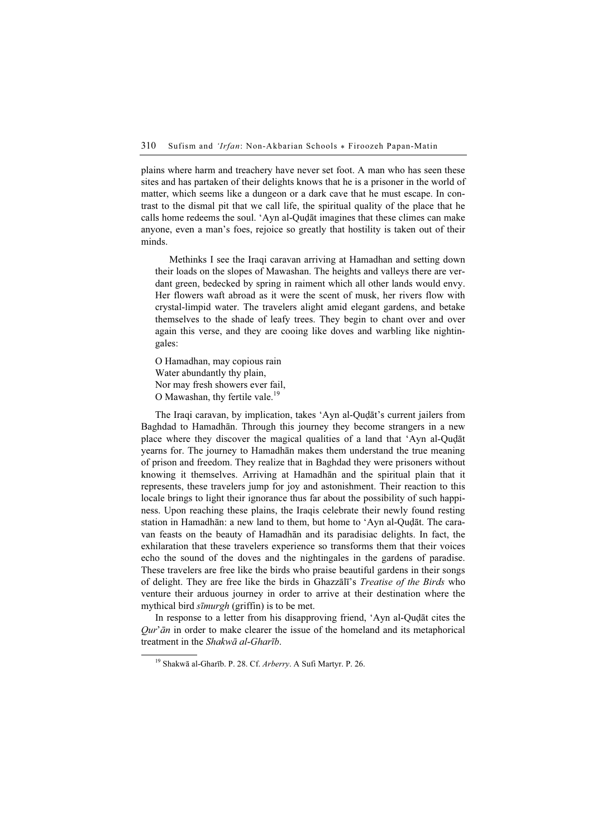plains where harm and treachery have never set foot. A man who has seen these sites and has partaken of their delights knows that he is a prisoner in the world of matter, which seems like a dungeon or a dark cave that he must escape. In contrast to the dismal pit that we call life, the spiritual quality of the place that he calls home redeems the soul. 'Ayn al-Quḍāt imagines that these climes can make anyone, even a man's foes, rejoice so greatly that hostility is taken out of their minds.

Methinks I see the Iraqi caravan arriving at Hamadhan and setting down their loads on the slopes of Mawashan. The heights and valleys there are verdant green, bedecked by spring in raiment which all other lands would envy. Her flowers waft abroad as it were the scent of musk, her rivers flow with crystal-limpid water. The travelers alight amid elegant gardens, and betake themselves to the shade of leafy trees. They begin to chant over and over again this verse, and they are cooing like doves and warbling like nightingales:

O Hamadhan, may copious rain Water abundantly thy plain, Nor may fresh showers ever fail, O Mawashan, thy fertile vale.<sup>19</sup>

The Iraqi caravan, by implication, takes 'Ayn al-Quḍāt's current jailers from Baghdad to Hamadhān. Through this journey they become strangers in a new place where they discover the magical qualities of a land that 'Ayn al-Quḍāt yearns for. The journey to Hamadhān makes them understand the true meaning of prison and freedom. They realize that in Baghdad they were prisoners without knowing it themselves. Arriving at Hamadhān and the spiritual plain that it represents, these travelers jump for joy and astonishment. Their reaction to this locale brings to light their ignorance thus far about the possibility of such happiness. Upon reaching these plains, the Iraqis celebrate their newly found resting station in Hamadhān: a new land to them, but home to 'Ayn al-Quḍāt. The caravan feasts on the beauty of Hamadhān and its paradisiac delights. In fact, the exhilaration that these travelers experience so transforms them that their voices echo the sound of the doves and the nightingales in the gardens of paradise. These travelers are free like the birds who praise beautiful gardens in their songs of delight. They are free like the birds in Ghazzālī's Treatise of the Birds who venture their arduous journey in order to arrive at their destination where the mythical bird *sīmurgh* (griffin) is to be met.

In response to a letter from his disapproving friend, 'Ayn al-Quḍāt cites the  $Qur'$ *ān* in order to make clearer the issue of the homeland and its metaphorical treatment in the Shakwā al-Gharīb.

<sup>19</sup> Shakwā al-Gharīb. P. 28. Cf. Arberry. A Sufi Martyr. P. 26.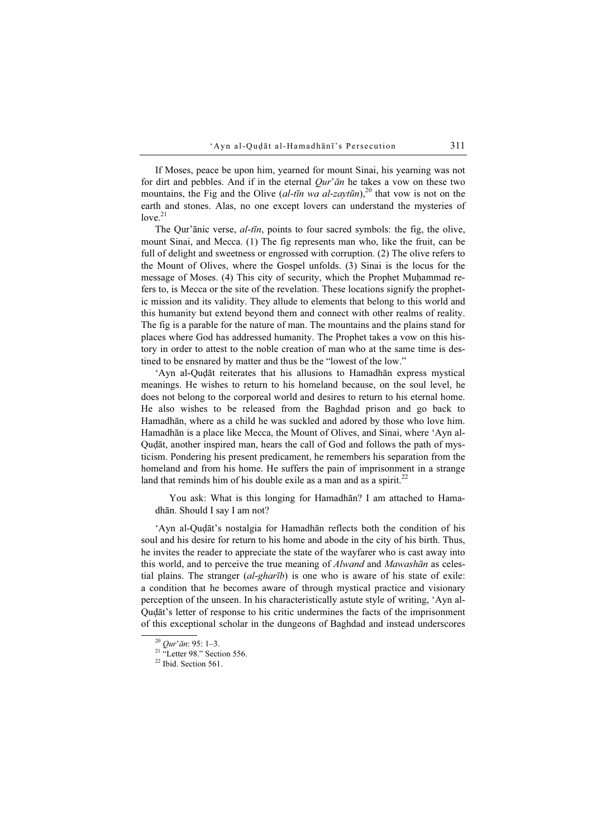If Moses, peace be upon him, yearned for mount Sinai, his yearning was not for dirt and pebbles. And if in the eternal  $Our<sup>7</sup>$  an he takes a vow on these two mountains, the Fig and the Olive (al-tīn wa al-zaytūn),<sup>20</sup> that vow is not on the earth and stones. Alas, no one except lovers can understand the mysteries of  $\log^{21}$ 

The Qur'ānic verse, *al-tīn*, points to four sacred symbols: the fig, the olive, mount Sinai, and Mecca. (1) The fig represents man who, like the fruit, can be full of delight and sweetness or engrossed with corruption. (2) The olive refers to the Mount of Olives, where the Gospel unfolds. (3) Sinai is the locus for the message of Moses. (4) This city of security, which the Prophet Muḥammad refers to, is Mecca or the site of the revelation. These locations signify the prophetic mission and its validity. They allude to elements that belong to this world and this humanity but extend beyond them and connect with other realms of reality. The fig is a parable for the nature of man. The mountains and the plains stand for places where God has addressed humanity. The Prophet takes a vow on this history in order to attest to the noble creation of man who at the same time is destined to be ensnared by matter and thus be the "lowest of the low."

'Ayn al-Quḍāt reiterates that his allusions to Hamadhān express mystical meanings. He wishes to return to his homeland because, on the soul level, he does not belong to the corporeal world and desires to return to his eternal home. He also wishes to be released from the Baghdad prison and go back to Hamadhān, where as a child he was suckled and adored by those who love him. Hamadhān is a place like Mecca, the Mount of Olives, and Sinai, where 'Ayn al-Quḍāt, another inspired man, hears the call of God and follows the path of mysticism. Pondering his present predicament, he remembers his separation from the homeland and from his home. He suffers the pain of imprisonment in a strange land that reminds him of his double exile as a man and as a spirit.<sup>22</sup>

You ask: What is this longing for Hamadhān? I am attached to Hamadhān. Should I say I am not?

'Ayn al-Quḍāt's nostalgia for Hamadhān reflects both the condition of his soul and his desire for return to his home and abode in the city of his birth. Thus, he invites the reader to appreciate the state of the wayfarer who is cast away into this world, and to perceive the true meaning of *Alwand* and *Mawashān* as celestial plains. The stranger  $(al$ -ghar $\bar{u}$  is one who is aware of his state of exile: a condition that he becomes aware of through mystical practice and visionary perception of the unseen. In his characteristically astute style of writing, 'Ayn al-Quḍāt's letter of response to his critic undermines the facts of the imprisonment of this exceptional scholar in the dungeons of Baghdad and instead underscores

 $\frac{20}{21}$  Qur'ān: 95: 1–3.<br><sup>21</sup> "Letter 98." Section 556.

<sup>&</sup>lt;sup>22</sup> Ibid. Section 561.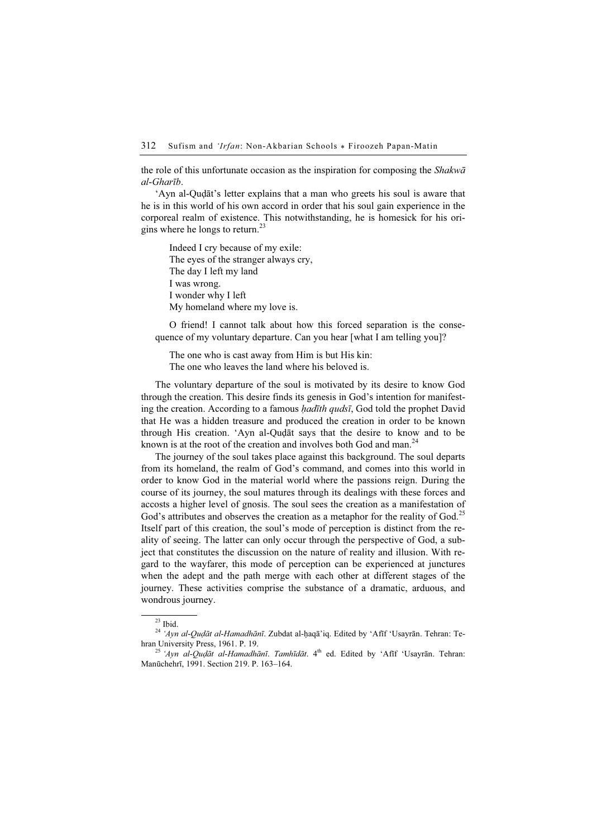the role of this unfortunate occasion as the inspiration for composing the  $Shakw\bar{a}$ al-Gharīb.

'Ayn al-Quḍāt's letter explains that a man who greets his soul is aware that he is in this world of his own accord in order that his soul gain experience in the corporeal realm of existence. This notwithstanding, he is homesick for his origins where he longs to return.<sup>23</sup>

Indeed I cry because of my exile: The eyes of the stranger always cry, The day I left my land I was wrong. I wonder why I left My homeland where my love is.

O friend! I cannot talk about how this forced separation is the consequence of my voluntary departure. Can you hear [what I am telling you]?

The one who is cast away from Him is but His kin: The one who leaves the land where his beloved is.

The voluntary departure of the soul is motivated by its desire to know God through the creation. This desire finds its genesis in God's intention for manifesting the creation. According to a famous *hadīth qudsī*, God told the prophet David that He was a hidden treasure and produced the creation in order to be known through His creation. 'Ayn al-Quḍāt says that the desire to know and to be known is at the root of the creation and involves both God and man. $^{24}$ 

The journey of the soul takes place against this background. The soul departs from its homeland, the realm of God's command, and comes into this world in order to know God in the material world where the passions reign. During the course of its journey, the soul matures through its dealings with these forces and accosts a higher level of gnosis. The soul sees the creation as a manifestation of God's attributes and observes the creation as a metaphor for the reality of God.<sup>25</sup> Itself part of this creation, the soul's mode of perception is distinct from the reality of seeing. The latter can only occur through the perspective of God, a subject that constitutes the discussion on the nature of reality and illusion. With regard to the wayfarer, this mode of perception can be experienced at junctures when the adept and the path merge with each other at different stages of the journey. These activities comprise the substance of a dramatic, arduous, and wondrous journey.

 $23$  Ibid.

<sup>&</sup>lt;sup>24</sup> 'Ayn al-Quḍāt al-Hamadhānī. Zubdat al-ḥaqā'iq. Edited by 'Afīf 'Usayrān. Tehran: Tehran University Press, 1961. P. 19.<br><sup>25</sup> 'Ayn al-Qudāt al-Hamadhānī. Tamhīdāt. 4<sup>th</sup> ed. Edited by 'Afīf 'Usavrān. Tehran:

Manūchehrī, 1991. Section 219. P. 163–164.